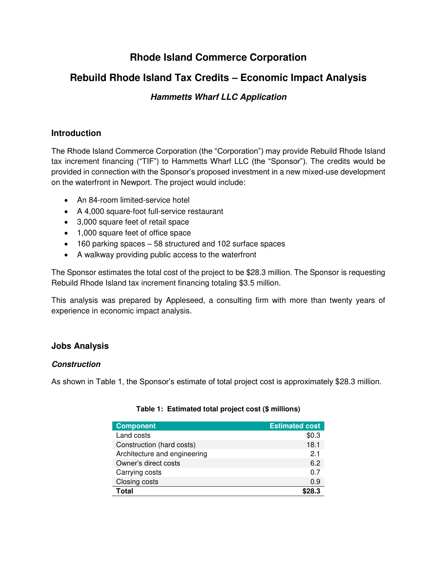# **Rhode Island Commerce Corporation**

## **Rebuild Rhode Island Tax Credits – Economic Impact Analysis**

## **Hammetts Wharf LLC Application**

## **Introduction**

The Rhode Island Commerce Corporation (the "Corporation") may provide Rebuild Rhode Island tax increment financing ("TIF") to Hammetts Wharf LLC (the "Sponsor"). The credits would be provided in connection with the Sponsor's proposed investment in a new mixed-use development on the waterfront in Newport. The project would include:

- An 84-room limited-service hotel
- A 4,000 square-foot full-service restaurant
- 3,000 square feet of retail space
- 1,000 square feet of office space
- 160 parking spaces 58 structured and 102 surface spaces
- A walkway providing public access to the waterfront

The Sponsor estimates the total cost of the project to be \$28.3 million. The Sponsor is requesting Rebuild Rhode Island tax increment financing totaling \$3.5 million.

This analysis was prepared by Appleseed, a consulting firm with more than twenty years of experience in economic impact analysis.

## **Jobs Analysis**

## **Construction**

As shown in Table 1, the Sponsor's estimate of total project cost is approximately \$28.3 million.

| <b>Component</b>             | <b>Estimated cost</b> |
|------------------------------|-----------------------|
| Land costs                   | \$0.3                 |
| Construction (hard costs)    | 18.1                  |
| Architecture and engineering | 21                    |
| Owner's direct costs         | 6.2                   |
| Carrying costs               | 0.7                   |
| Closing costs                | 0.9                   |
| Total                        | ף א                   |

#### **Table 1: Estimated total project cost (\$ millions)**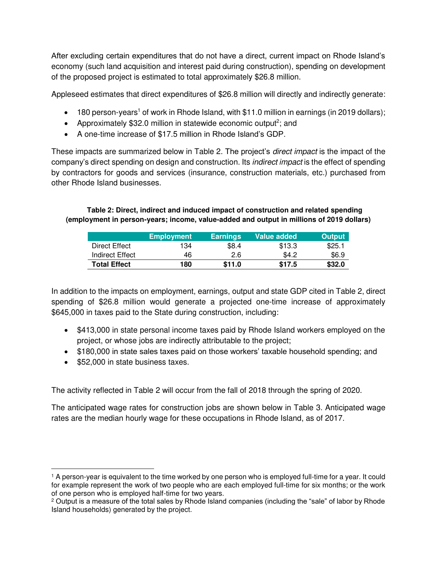After excluding certain expenditures that do not have a direct, current impact on Rhode Island's economy (such land acquisition and interest paid during construction), spending on development of the proposed project is estimated to total approximately \$26.8 million.

Appleseed estimates that direct expenditures of \$26.8 million will directly and indirectly generate:

- 180 person-years<sup>1</sup> of work in Rhode Island, with \$11.0 million in earnings (in 2019 dollars);
- Approximately \$32.0 million in statewide economic output<sup>2</sup>; and
- A one-time increase of \$17.5 million in Rhode Island's GDP.

These impacts are summarized below in Table 2. The project's *direct impact* is the impact of the company's direct spending on design and construction. Its indirect impact is the effect of spending by contractors for goods and services (insurance, construction materials, etc.) purchased from other Rhode Island businesses.

#### **Table 2: Direct, indirect and induced impact of construction and related spending (employment in person-years; income, value-added and output in millions of 2019 dollars)**

|                     | <b>Employment</b> | <b>Earnings</b> | Value added | <b>Output</b> |
|---------------------|-------------------|-----------------|-------------|---------------|
| Direct Effect       | 134               | \$8.4           | \$13.3      | \$25.1        |
| Indirect Effect     | 46                | 2.6             | \$4.2       | \$6.9         |
| <b>Total Effect</b> | 180               | \$11.0          | \$17.5      | \$32.0        |

In addition to the impacts on employment, earnings, output and state GDP cited in Table 2, direct spending of \$26.8 million would generate a projected one-time increase of approximately \$645,000 in taxes paid to the State during construction, including:

- \$413,000 in state personal income taxes paid by Rhode Island workers employed on the project, or whose jobs are indirectly attributable to the project;
- \$180,000 in state sales taxes paid on those workers' taxable household spending; and
- \$52,000 in state business taxes.

l

The activity reflected in Table 2 will occur from the fall of 2018 through the spring of 2020.

The anticipated wage rates for construction jobs are shown below in Table 3. Anticipated wage rates are the median hourly wage for these occupations in Rhode Island, as of 2017.

<sup>1</sup> A person-year is equivalent to the time worked by one person who is employed full-time for a year. It could for example represent the work of two people who are each employed full-time for six months; or the work of one person who is employed half-time for two years.

<sup>&</sup>lt;sup>2</sup> Output is a measure of the total sales by Rhode Island companies (including the "sale" of labor by Rhode Island households) generated by the project.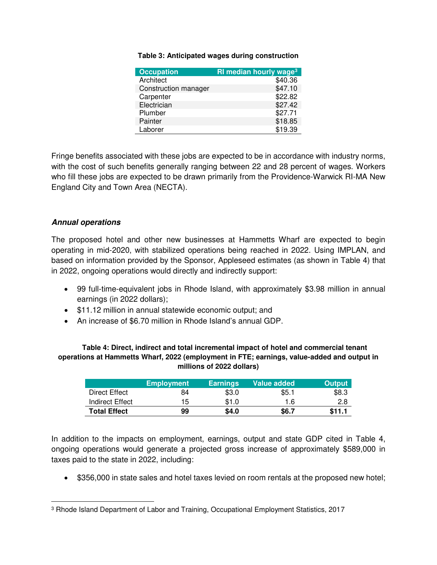#### **Table 3: Anticipated wages during construction**

| <b>Occupation</b>    | RI median hourly wage <sup>3</sup> |
|----------------------|------------------------------------|
| Architect            | \$40.36                            |
| Construction manager | \$47.10                            |
| Carpenter            | \$22.82                            |
| Electrician          | \$27.42                            |
| Plumber              | \$27.71                            |
| Painter              | \$18.85                            |
| Laborer              | \$19.39                            |

Fringe benefits associated with these jobs are expected to be in accordance with industry norms, with the cost of such benefits generally ranging between 22 and 28 percent of wages. Workers who fill these jobs are expected to be drawn primarily from the Providence-Warwick RI-MA New England City and Town Area (NECTA).

#### **Annual operations**

l

The proposed hotel and other new businesses at Hammetts Wharf are expected to begin operating in mid-2020, with stabilized operations being reached in 2022. Using IMPLAN, and based on information provided by the Sponsor, Appleseed estimates (as shown in Table 4) that in 2022, ongoing operations would directly and indirectly support:

- 99 full-time-equivalent jobs in Rhode Island, with approximately \$3.98 million in annual earnings (in 2022 dollars);
- \$11.12 million in annual statewide economic output; and
- An increase of \$6.70 million in Rhode Island's annual GDP.

#### **Table 4: Direct, indirect and total incremental impact of hotel and commercial tenant operations at Hammetts Wharf, 2022 (employment in FTE; earnings, value-added and output in millions of 2022 dollars)**

|                     | <b>Employment</b> | <b>Earnings</b> | Value added | <b>Output</b> |
|---------------------|-------------------|-----------------|-------------|---------------|
| Direct Effect       | 84                | \$3.0           | \$5.1       | \$8.3         |
| Indirect Effect     | 15                | \$1.0           | 1.6         | 2.8           |
| <b>Total Effect</b> | 99                | \$4.0           | \$6.7       | \$11.1        |

In addition to the impacts on employment, earnings, output and state GDP cited in Table 4, ongoing operations would generate a projected gross increase of approximately \$589,000 in taxes paid to the state in 2022, including:

• \$356,000 in state sales and hotel taxes levied on room rentals at the proposed new hotel;

<sup>3</sup> Rhode Island Department of Labor and Training, Occupational Employment Statistics, 2017